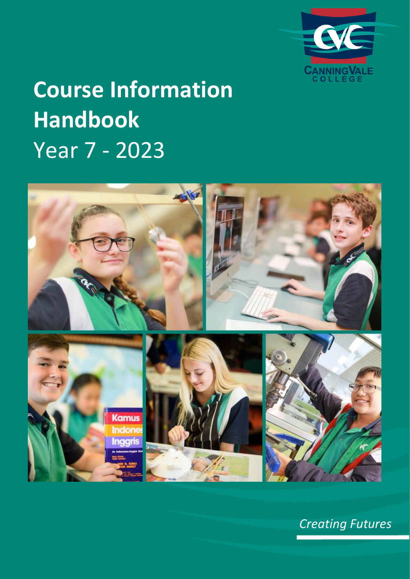

# **Course Information Handbook** Year 7 - 2023



*Creating Futures*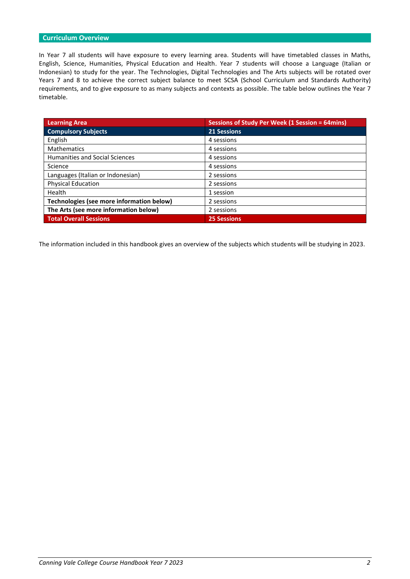# **Curriculum Overview**

In Year 7 all students will have exposure to every learning area. Students will have timetabled classes in Maths, English, Science, Humanities, Physical Education and Health. Year 7 students will choose a Language (Italian or Indonesian) to study for the year. The Technologies, Digital Technologies and The Arts subjects will be rotated over Years 7 and 8 to achieve the correct subject balance to meet SCSA (School Curriculum and Standards Authority) requirements, and to give exposure to as many subjects and contexts as possible. The table below outlines the Year 7 timetable.

| <b>Learning Area</b>                      | <b>Sessions of Study Per Week (1 Session = 64mins)</b> |
|-------------------------------------------|--------------------------------------------------------|
| <b>Compulsory Subjects</b>                | <b>21 Sessions</b>                                     |
| English                                   | 4 sessions                                             |
| <b>Mathematics</b>                        | 4 sessions                                             |
| Humanities and Social Sciences            | 4 sessions                                             |
| Science                                   | 4 sessions                                             |
| Languages (Italian or Indonesian)         | 2 sessions                                             |
| <b>Physical Education</b>                 | 2 sessions                                             |
| Health                                    | 1 session                                              |
| Technologies (see more information below) | 2 sessions                                             |
| The Arts (see more information below)     | 2 sessions                                             |
| <b>Total Overall Sessions</b>             | <b>25 Sessions</b>                                     |

The information included in this handbook gives an overview of the subjects which students will be studying in 2023.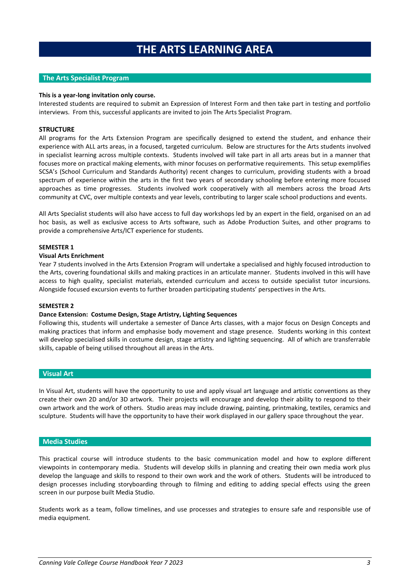# **THE ARTS LEARNING AREA**

# **The Arts Specialist Program**

#### **This is a year-long invitation only course.**

Interested students are required to submit an Expression of Interest Form and then take part in testing and portfolio interviews. From this, successful applicants are invited to join The Arts Specialist Program.

#### **STRUCTURE**

All programs for the Arts Extension Program are specifically designed to extend the student, and enhance their experience with ALL arts areas, in a focused, targeted curriculum. Below are structures for the Arts students involved in specialist learning across multiple contexts. Students involved will take part in all arts areas but in a manner that focuses more on practical making elements, with minor focuses on performative requirements. This setup exemplifies SCSA's (School Curriculum and Standards Authority) recent changes to curriculum, providing students with a broad spectrum of experience within the arts in the first two years of secondary schooling before entering more focused approaches as time progresses. Students involved work cooperatively with all members across the broad Arts community at CVC, over multiple contexts and year levels, contributing to larger scale school productions and events.

All Arts Specialist students will also have access to full day workshops led by an expert in the field, organised on an ad hoc basis, as well as exclusive access to Arts software, such as Adobe Production Suites, and other programs to provide a comprehensive Arts/ICT experience for students.

#### **SEMESTER 1**

## **Visual Arts Enrichment**

Year 7 students involved in the Arts Extension Program will undertake a specialised and highly focused introduction to the Arts, covering foundational skills and making practices in an articulate manner. Students involved in this will have access to high quality, specialist materials, extended curriculum and access to outside specialist tutor incursions. Alongside focused excursion events to further broaden participating students' perspectives in the Arts.

#### **SEMESTER 2**

#### **Dance Extension: Costume Design, Stage Artistry, Lighting Sequences**

Following this, students will undertake a semester of Dance Arts classes, with a major focus on Design Concepts and making practices that inform and emphasise body movement and stage presence. Students working in this context will develop specialised skills in costume design, stage artistry and lighting sequencing. All of which are transferrable skills, capable of being utilised throughout all areas in the Arts.

## **Visual Art**

In Visual Art, students will have the opportunity to use and apply visual art language and artistic conventions as they create their own 2D and/or 3D artwork. Their projects will encourage and develop their ability to respond to their own artwork and the work of others. Studio areas may include drawing, painting, printmaking, textiles, ceramics and sculpture. Students will have the opportunity to have their work displayed in our gallery space throughout the year.

#### **Media Studies**

This practical course will introduce students to the basic communication model and how to explore different viewpoints in contemporary media. Students will develop skills in planning and creating their own media work plus develop the language and skills to respond to their own work and the work of others. Students will be introduced to design processes including storyboarding through to filming and editing to adding special effects using the green screen in our purpose built Media Studio.

Students work as a team, follow timelines, and use processes and strategies to ensure safe and responsible use of media equipment.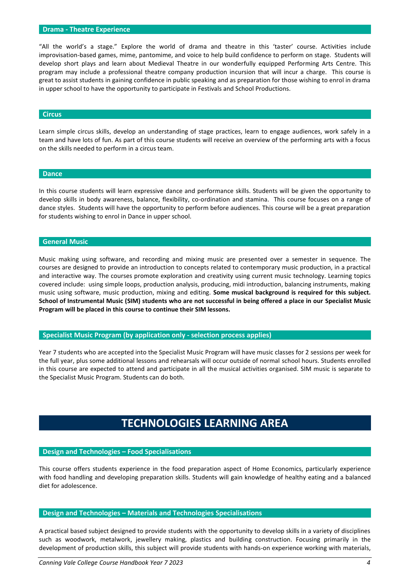# **Drama - Theatre Experience**

"All the world's a stage." Explore the world of drama and theatre in this 'taster' course. Activities include improvisation-based games, mime, pantomime, and voice to help build confidence to perform on stage. Students will develop short plays and learn about Medieval Theatre in our wonderfully equipped Performing Arts Centre. This program may include a professional theatre company production incursion that will incur a charge. This course is great to assist students in gaining confidence in public speaking and as preparation for those wishing to enrol in drama in upper school to have the opportunity to participate in Festivals and School Productions.

#### **Circus**

Learn simple circus skills, develop an understanding of stage practices, learn to engage audiences, work safely in a team and have lots of fun. As part of this course students will receive an overview of the performing arts with a focus on the skills needed to perform in a circus team.

#### **Dance**

In this course students will learn expressive dance and performance skills. Students will be given the opportunity to develop skills in body awareness, balance, flexibility, co-ordination and stamina. This course focuses on a range of dance styles. Students will have the opportunity to perform before audiences. This course will be a great preparation for students wishing to enrol in Dance in upper school.

## **General Music**

Music making using software, and recording and mixing music are presented over a semester in sequence. The courses are designed to provide an introduction to concepts related to contemporary music production, in a practical and interactive way. The courses promote exploration and creativity using current music technology. Learning topics covered include: using simple loops, production analysis, producing, midi introduction, balancing instruments, making music using software, music production, mixing and editing. **Some musical background is required for this subject. School of Instrumental Music (SIM) students who are not successful in being offered a place in our Specialist Music Program will be placed in this course to continue their SIM lessons.**

**Specialist Music Program (by application only - selection process applies)**

Year 7 students who are accepted into the Specialist Music Program will have music classes for 2 sessions per week for the full year, plus some additional lessons and rehearsals will occur outside of normal school hours. Students enrolled in this course are expected to attend and participate in all the musical activities organised. SIM music is separate to the Specialist Music Program. Students can do both.

# **TECHNOLOGIES LEARNING AREA**

# **Design and Technologies – Food Specialisations**

This course offers students experience in the food preparation aspect of Home Economics, particularly experience with food handling and developing preparation skills. Students will gain knowledge of healthy eating and a balanced diet for adolescence.

#### **Design and Technologies – Materials and Technologies Specialisations**

A practical based subject designed to provide students with the opportunity to develop skills in a variety of disciplines such as woodwork, metalwork, jewellery making, plastics and building construction. Focusing primarily in the development of production skills, this subject will provide students with hands-on experience working with materials,